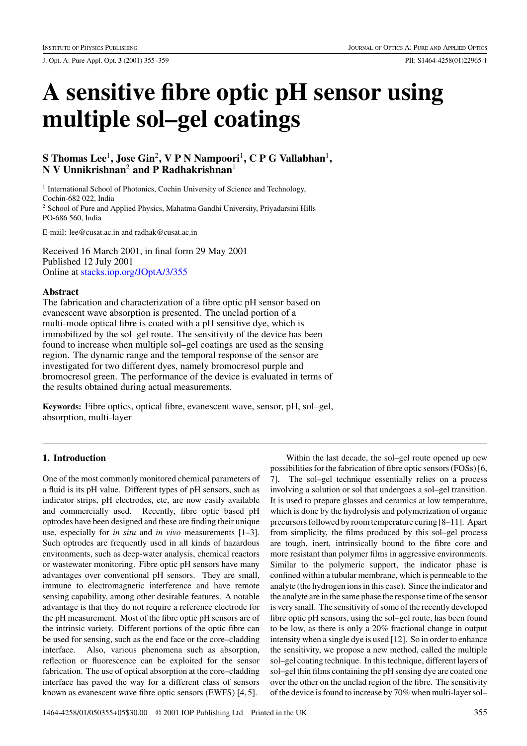J. Opt. A: Pure Appl. Opt. **3** (2001) 355–359 PII: S1464-4258(01)22965-1

# **A sensitive fibre optic pH sensor using multiple sol–gel coatings**

# **S Thomas Lee**<sup>1</sup>**, Jose Gin**<sup>2</sup>**,VPN Nampoori**<sup>1</sup>**,CPGVallabhan**<sup>1</sup>**, N V Unnikrishnan**<sup>2</sup> **and P Radhakrishnan**<sup>1</sup>

<sup>1</sup> International School of Photonics, Cochin University of Science and Technology, Cochin-682 022, India <sup>2</sup> School of Pure and Applied Physics, Mahatma Gandhi University, Priyadarsini Hills PO-686 560, India

E-mail: lee@cusat.ac.in and radhak@cusat.ac.in

Received 16 March 2001, in final form 29 May 2001 Published 12 July 2001 Online at [stacks.iop.org/JOptA/3/355](http://stacks.iop.org/oa/3/355)

## **Abstract**

The fabrication and characterization of a fibre optic pH sensor based on evanescent wave absorption is presented. The unclad portion of a multi-mode optical fibre is coated with a pH sensitive dye, which is immobilized by the sol–gel route. The sensitivity of the device has been found to increase when multiple sol–gel coatings are used as the sensing region. The dynamic range and the temporal response of the sensor are investigated for two different dyes, namely bromocresol purple and bromocresol green. The performance of the device is evaluated in terms of the results obtained during actual measurements.

**Keywords:** Fibre optics, optical fibre, evanescent wave, sensor, pH, sol–gel, absorption, multi-layer

# **1. Introduction**

One of the most commonly monitored chemical parameters of a fluid is its pH value. Different types of pH sensors, such as indicator strips, pH electrodes, etc, are now easily available and commercially used. Recently, fibre optic based pH optrodes have been designed and these are finding their unique use, especially for *in situ* and *in vivo* measurements [1–3]. Such optrodes are frequently used in all kinds of hazardous environments, such as deep-water analysis, chemical reactors or wastewater monitoring. Fibre optic pH sensors have many advantages over conventional pH sensors. They are small, immune to electromagnetic interference and have remote sensing capability, among other desirable features. A notable advantage is that they do not require a reference electrode for the pH measurement. Most of the fibre optic pH sensors are of the intrinsic variety. Different portions of the optic fibre can be used for sensing, such as the end face or the core–cladding interface. Also, various phenomena such as absorption, reflection or fluorescence can be exploited for the sensor fabrication. The use of optical absorption at the core–cladding interface has paved the way for a different class of sensors known as evanescent wave fibre optic sensors (EWFS) [4, 5].

Within the last decade, the sol–gel route opened up new possibilities for the fabrication of fibre optic sensors (FOSs) [6, 7]. The sol–gel technique essentially relies on a process involving a solution or sol that undergoes a sol–gel transition. It is used to prepare glasses and ceramics at low temperature, which is done by the hydrolysis and polymerization of organic precursors followed by room temperature curing [8–11]. Apart from simplicity, the films produced by this sol–gel process are tough, inert, intrinsically bound to the fibre core and more resistant than polymer films in aggressive environments. Similar to the polymeric support, the indicator phase is confined within a tubular membrane, which is permeable to the analyte (the hydrogen ions in this case). Since the indicator and the analyte are in the same phase the response time of the sensor is very small. The sensitivity of some of the recently developed fibre optic pH sensors, using the sol–gel route, has been found to be low, as there is only a 20% fractional change in output intensity when a single dye is used [12]. So in order to enhance the sensitivity, we propose a new method, called the multiple sol–gel coating technique. In this technique, different layers of sol–gel thin films containing the pH sensing dye are coated one over the other on the unclad region of the fibre. The sensitivity of the device is found to increase by 70% when multi-layer sol–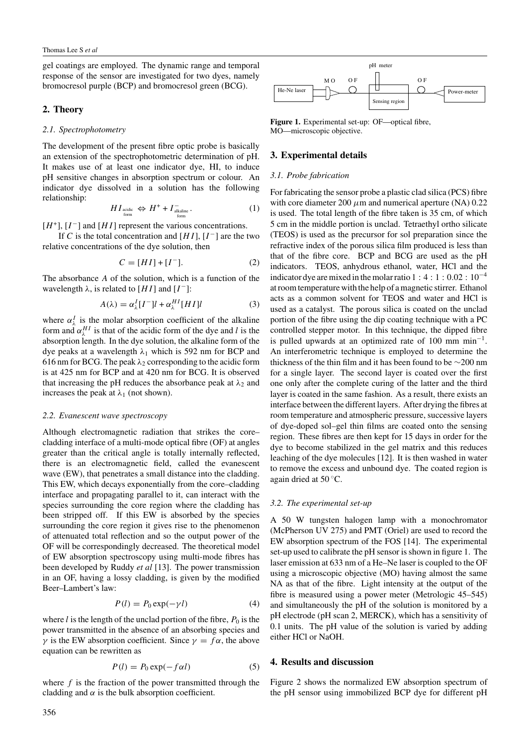gel coatings are employed. The dynamic range and temporal response of the sensor are investigated for two dyes, namely bromocresol purple (BCP) and bromocresol green (BCG).

#### **2. Theory**

#### *2.1. Spectrophotometry*

The development of the present fibre optic probe is basically an extension of the spectrophotometric determination of pH. It makes use of at least one indicator dye, HI, to induce pH sensitive changes in absorption spectrum or colour. An indicator dye dissolved in a solution has the following relationship:

$$
HI_{\substack{\text{form} \\ \text{form}}} \Leftrightarrow H^+ + I_{\substack{\text{alkaline} \\ \text{form}}} \, . \tag{1}
$$

 $[H^+]$ ,  $[I^-]$  and  $[H]$  represent the various concentrations.

If C is the total concentration and  $[HI]$ ,  $[I^-]$  are the two relative concentrations of the dye solution, then

$$
C = [HI] + [I^-]. \tag{2}
$$

The absorbance A of the solution, which is a function of the wavelength  $\lambda$ , is related to [H I] and [I<sup>-</sup>]:

$$
A(\lambda) = \alpha_{\lambda}^{I}[I^{-}]l + \alpha_{\lambda}^{HI}[HI]l
$$
 (3)

where  $\alpha_{\lambda}^{I}$  is the molar absorption coefficient of the alkaline form and  $\alpha_{\lambda}^{H I}$  is that of the acidic form of the dye and l is the absorption length. In the dye solution, the alkaline form of the dye peaks at a wavelength  $\lambda_1$  which is 592 nm for BCP and 616 nm for BCG. The peak  $\lambda_2$  corresponding to the acidic form is at 425 nm for BCP and at 420 nm for BCG. It is observed that increasing the pH reduces the absorbance peak at  $\lambda_2$  and increases the peak at  $\lambda_1$  (not shown).

## *2.2. Evanescent wave spectroscopy*

Although electromagnetic radiation that strikes the core– cladding interface of a multi-mode optical fibre (OF) at angles greater than the critical angle is totally internally reflected, there is an electromagnetic field, called the evanescent wave (EW), that penetrates a small distance into the cladding. This EW, which decays exponentially from the core–cladding interface and propagating parallel to it, can interact with the species surrounding the core region where the cladding has been stripped off. If this EW is absorbed by the species surrounding the core region it gives rise to the phenomenon of attenuated total reflection and so the output power of the OF will be correspondingly decreased. The theoretical model of EW absorption spectroscopy using multi-mode fibres has been developed by Ruddy *et al* [13]. The power transmission in an OF, having a lossy cladding, is given by the modified Beer–Lambert's law:

$$
P(l) = P_0 \exp(-\gamma l) \tag{4}
$$

where l is the length of the unclad portion of the fibre,  $P_0$  is the power transmitted in the absence of an absorbing species and  $\gamma$  is the EW absorption coefficient. Since  $\gamma = f\alpha$ , the above equation can be rewritten as

$$
P(l) = P_0 \exp(-f\alpha l) \tag{5}
$$

where  $f$  is the fraction of the power transmitted through the cladding and  $\alpha$  is the bulk absorption coefficient.



**Figure 1.** Experimental set-up: OF—optical fibre, MO—microscopic objective.

## **3. Experimental details**

#### *3.1. Probe fabrication*

For fabricating the sensor probe a plastic clad silica (PCS) fibre with core diameter 200  $\mu$ m and numerical aperture (NA) 0.22 is used. The total length of the fibre taken is 35 cm, of which 5 cm in the middle portion is unclad. Tetraethyl ortho silicate (TEOS) is used as the precursor for sol preparation since the refractive index of the porous silica film produced is less than that of the fibre core. BCP and BCG are used as the pH indicators. TEOS, anhydrous ethanol, water, HCl and the indicator dye are mixed in the molar ratio  $1:4:1:0.02:10^{-4}$ at room temperature with the help of a magnetic stirrer. Ethanol acts as a common solvent for TEOS and water and HCl is used as a catalyst. The porous silica is coated on the unclad portion of the fibre using the dip coating technique with a PC controlled stepper motor. In this technique, the dipped fibre is pulled upwards at an optimized rate of 100 mm min<sup>-1</sup>. An interferometric technique is employed to determine the thickness of the thin film and it has been found to be ∼200 nm for a single layer. The second layer is coated over the first one only after the complete curing of the latter and the third layer is coated in the same fashion. As a result, there exists an interface between the different layers. After drying the fibres at room temperature and atmospheric pressure, successive layers of dye-doped sol–gel thin films are coated onto the sensing region. These fibres are then kept for 15 days in order for the dye to become stabilized in the gel matrix and this reduces leaching of the dye molecules [12]. It is then washed in water to remove the excess and unbound dye. The coated region is again dried at 50 ◦C.

### *3.2. The experimental set-up*

A 50 W tungsten halogen lamp with a monochromator (McPherson UV 275) and PMT (Oriel) are used to record the EW absorption spectrum of the FOS [14]. The experimental set-up used to calibrate the pH sensor is shown in figure 1. The laser emission at 633 nm of a He–Ne laser is coupled to the OF using a microscopic objective (MO) having almost the same NA as that of the fibre. Light intensity at the output of the fibre is measured using a power meter (Metrologic 45–545) and simultaneously the pH of the solution is monitored by a pH electrode (pH scan 2, MERCK), which has a sensitivity of 0.1 units. The pH value of the solution is varied by adding either HCl or NaOH.

# **4. Results and discussion**

Figure 2 shows the normalized EW absorption spectrum of the pH sensor using immobilized BCP dye for different pH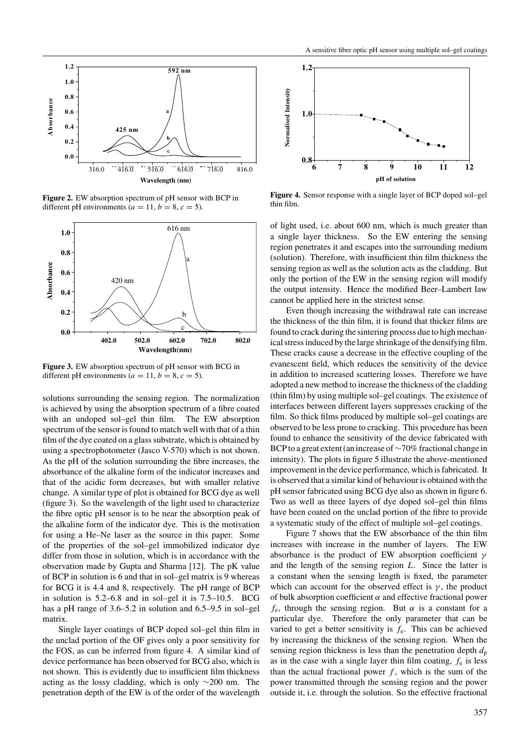

**Figure 2.** EW absorption spectrum of pH sensor with BCP in different pH environments ( $a = 11$ ,  $b = 8$ ,  $c = 5$ ).



**Figure 3.** EW absorption spectrum of pH sensor with BCG in different pH environments ( $a = 11$ ,  $b = 8$ ,  $c = 5$ ).

solutions surrounding the sensing region. The normalization is achieved by using the absorption spectrum of a fibre coated with an undoped sol–gel thin film. The EW absorption spectrum of the sensor is found to match well with that of a thin film of the dye coated on a glass substrate, which is obtained by using a spectrophotometer (Jasco V-570) which is not shown. As the pH of the solution surrounding the fibre increases, the absorbance of the alkaline form of the indicator increases and that of the acidic form decreases, but with smaller relative change. A similar type of plot is obtained for BCG dye as well (figure 3). So the wavelength of the light used to characterize the fibre optic pH sensor is to be near the absorption peak of the alkaline form of the indicator dye. This is the motivation for using a He–Ne laser as the source in this paper. Some of the properties of the sol–gel immobilized indicator dye differ from those in solution, which is in accordance with the observation made by Gupta and Sharma [12]. The pK value of BCP in solution is 6 and that in sol–gel matrix is 9 whereas for BCG it is 4.4 and 8, respectively. The pH range of BCP in solution is 5.2–6.8 and in sol–gel it is 7.5–10.5. BCG has a pH range of 3.6–5.2 in solution and 6.5–9.5 in sol–gel matrix.

Single layer coatings of BCP doped sol–gel thin film in the unclad portion of the OF gives only a poor sensitivity for the FOS, as can be inferred from figure 4. A similar kind of device performance has been observed for BCG also, which is not shown. This is evidently due to insufficient film thickness acting as the lossy cladding, which is only ∼200 nm. The penetration depth of the EW is of the order of the wavelength



**Figure 4.** Sensor response with a single layer of BCP doped sol–gel thin film.

of light used, i.e. about 600 nm, which is much greater than a single layer thickness. So the EW entering the sensing region penetrates it and escapes into the surrounding medium (solution). Therefore, with insufficient thin film thickness the sensing region as well as the solution acts as the cladding. But only the portion of the EW in the sensing region will modify the output intensity. Hence the modified Beer–Lambert law cannot be applied here in the strictest sense.

Even though increasing the withdrawal rate can increase the thickness of the thin film, it is found that thicker films are found to crack during the sintering process due to high mechanical stress induced by the large shrinkage of the densifying film. These cracks cause a decrease in the effective coupling of the evanescent field, which reduces the sensitivity of the device in addition to increased scattering losses. Therefore we have adopted a new method to increase the thickness of the cladding (thin film) by using multiple sol–gel coatings. The existence of interfaces between different layers suppresses cracking of the film. So thick films produced by multiple sol–gel coatings are observed to be less prone to cracking. This procedure has been found to enhance the sensitivity of the device fabricated with BCP to a great extent (an increase of∼70% fractional change in intensity). The plots in figure 5 illustrate the above-mentioned improvement in the device performance, which is fabricated. It is observed that a similar kind of behaviour is obtained with the pH sensor fabricated using BCG dye also as shown in figure 6. Two as well as three layers of dye doped sol–gel thin films have been coated on the unclad portion of the fibre to provide a systematic study of the effect of multiple sol–gel coatings.

Figure 7 shows that the EW absorbance of the thin film increases with increase in the number of layers. The EW absorbance is the product of EW absorption coefficient  $\gamma$ and the length of the sensing region  $L$ . Since the latter is a constant when the sensing length is fixed, the parameter which can account for the observed effect is  $\gamma$ , the product of bulk absorption coefficient  $\alpha$  and effective fractional power  $f_e$ , through the sensing region. But  $\alpha$  is a constant for a particular dye. Therefore the only parameter that can be varied to get a better sensitivity is  $f_e$ . This can be achieved by increasing the thickness of the sensing region. When the sensing region thickness is less than the penetration depth  $d_p$ as in the case with a single layer thin film coating,  $f<sub>e</sub>$  is less than the actual fractional power  $f$ , which is the sum of the power transmitted through the sensing region and the power outside it, i.e. through the solution. So the effective fractional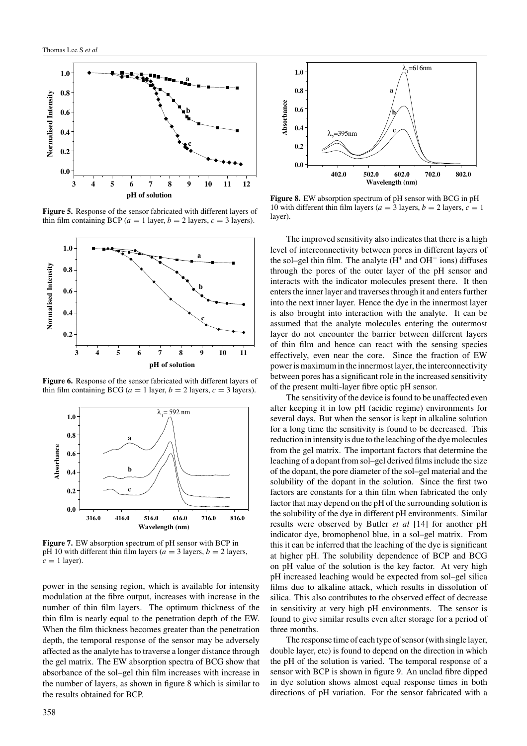

**Figure 5.** Response of the sensor fabricated with different layers of thin film containing BCP ( $a = 1$  layer,  $b = 2$  layers,  $c = 3$  layers).



**Figure 6.** Response of the sensor fabricated with different layers of thin film containing BCG ( $a = 1$  layer,  $b = 2$  layers,  $c = 3$  layers).



**Figure 7.** EW absorption spectrum of pH sensor with BCP in pH 10 with different thin film layers ( $a = 3$  layers,  $b = 2$  layers,  $c = 1$  layer).

power in the sensing region, which is available for intensity modulation at the fibre output, increases with increase in the number of thin film layers. The optimum thickness of the thin film is nearly equal to the penetration depth of the EW. When the film thickness becomes greater than the penetration depth, the temporal response of the sensor may be adversely affected as the analyte has to traverse a longer distance through the gel matrix. The EW absorption spectra of BCG show that absorbance of the sol–gel thin film increases with increase in the number of layers, as shown in figure 8 which is similar to the results obtained for BCP.



**Figure 8.** EW absorption spectrum of pH sensor with BCG in pH 10 with different thin film layers ( $a = 3$  layers,  $b = 2$  layers,  $c = 1$ layer).

The improved sensitivity also indicates that there is a high level of interconnectivity between pores in different layers of the sol–gel thin film. The analyte (H<sup>+</sup> and OH<sup>−</sup> ions) diffuses through the pores of the outer layer of the pH sensor and interacts with the indicator molecules present there. It then enters the inner layer and traverses through it and enters further into the next inner layer. Hence the dye in the innermost layer is also brought into interaction with the analyte. It can be assumed that the analyte molecules entering the outermost layer do not encounter the barrier between different layers of thin film and hence can react with the sensing species effectively, even near the core. Since the fraction of EW power is maximum in the innermost layer, the interconnectivity between pores has a significant role in the increased sensitivity of the present multi-layer fibre optic pH sensor.

The sensitivity of the device is found to be unaffected even after keeping it in low pH (acidic regime) environments for several days. But when the sensor is kept in alkaline solution for a long time the sensitivity is found to be decreased. This reduction in intensity is due to the leaching of the dye molecules from the gel matrix. The important factors that determine the leaching of a dopant from sol–gel derived films include the size of the dopant, the pore diameter of the sol–gel material and the solubility of the dopant in the solution. Since the first two factors are constants for a thin film when fabricated the only factor that may depend on the pH of the surrounding solution is the solubility of the dye in different pH environments. Similar results were observed by Butler *et al* [14] for another pH indicator dye, bromophenol blue, in a sol–gel matrix. From this it can be inferred that the leaching of the dye is significant at higher pH. The solubility dependence of BCP and BCG on pH value of the solution is the key factor. At very high pH increased leaching would be expected from sol–gel silica films due to alkaline attack, which results in dissolution of silica. This also contributes to the observed effect of decrease in sensitivity at very high pH environments. The sensor is found to give similar results even after storage for a period of three months.

The response time of each type of sensor (with single layer, double layer, etc) is found to depend on the direction in which the pH of the solution is varied. The temporal response of a sensor with BCP is shown in figure 9. An unclad fibre dipped in dye solution shows almost equal response times in both directions of pH variation. For the sensor fabricated with a